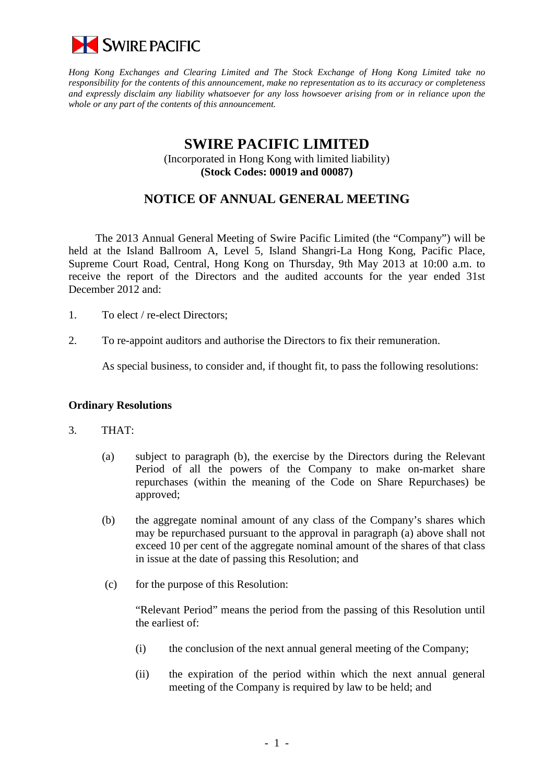

*Hong Kong Exchanges and Clearing Limited and The Stock Exchange of Hong Kong Limited take no responsibility for the contents of this announcement, make no representation as to its accuracy or completeness and expressly disclaim any liability whatsoever for any loss howsoever arising from or in reliance upon the whole or any part of the contents of this announcement.*

## **SWIRE PACIFIC LIMITED** (Incorporated in Hong Kong with limited liability) **(Stock Codes: 00019 and 00087)**

# **NOTICE OF ANNUAL GENERAL MEETING**

The 2013 Annual General Meeting of Swire Pacific Limited (the "Company") will be held at the Island Ballroom A, Level 5, Island Shangri-La Hong Kong, Pacific Place, Supreme Court Road, Central, Hong Kong on Thursday, 9th May 2013 at 10:00 a.m. to receive the report of the Directors and the audited accounts for the year ended 31st December 2012 and:

- 1. To elect / re-elect Directors;
- 2. To re-appoint auditors and authorise the Directors to fix their remuneration.

As special business, to consider and, if thought fit, to pass the following resolutions:

#### **Ordinary Resolutions**

- 3. THAT:
	- (a) subject to paragraph (b), the exercise by the Directors during the Relevant Period of all the powers of the Company to make on-market share repurchases (within the meaning of the Code on Share Repurchases) be approved;
	- (b) the aggregate nominal amount of any class of the Company's shares which may be repurchased pursuant to the approval in paragraph (a) above shall not exceed 10 per cent of the aggregate nominal amount of the shares of that class in issue at the date of passing this Resolution; and
	- (c) for the purpose of this Resolution:

"Relevant Period" means the period from the passing of this Resolution until the earliest of:

- (i) the conclusion of the next annual general meeting of the Company;
- (ii) the expiration of the period within which the next annual general meeting of the Company is required by law to be held; and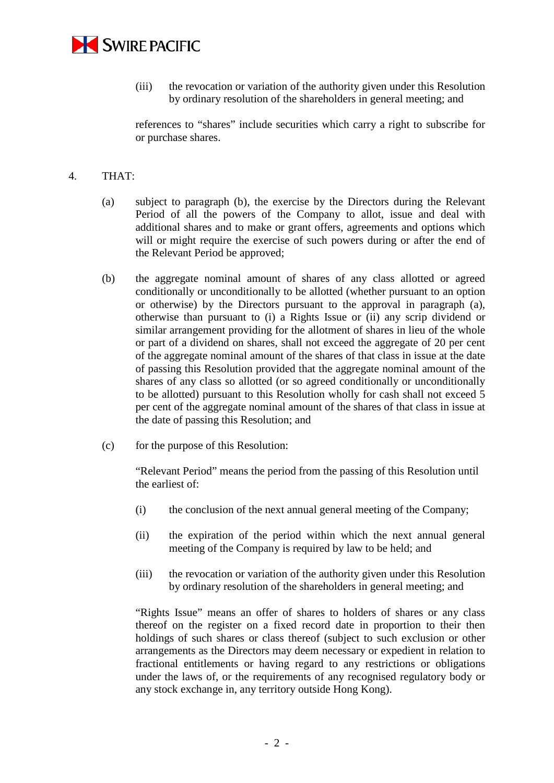

(iii) the revocation or variation of the authority given under this Resolution by ordinary resolution of the shareholders in general meeting; and

references to "shares" include securities which carry a right to subscribe for or purchase shares.

#### 4. THAT:

- (a) subject to paragraph (b), the exercise by the Directors during the Relevant Period of all the powers of the Company to allot, issue and deal with additional shares and to make or grant offers, agreements and options which will or might require the exercise of such powers during or after the end of the Relevant Period be approved;
- (b) the aggregate nominal amount of shares of any class allotted or agreed conditionally or unconditionally to be allotted (whether pursuant to an option or otherwise) by the Directors pursuant to the approval in paragraph (a), otherwise than pursuant to (i) a Rights Issue or (ii) any scrip dividend or similar arrangement providing for the allotment of shares in lieu of the whole or part of a dividend on shares, shall not exceed the aggregate of 20 per cent of the aggregate nominal amount of the shares of that class in issue at the date of passing this Resolution provided that the aggregate nominal amount of the shares of any class so allotted (or so agreed conditionally or unconditionally to be allotted) pursuant to this Resolution wholly for cash shall not exceed 5 per cent of the aggregate nominal amount of the shares of that class in issue at the date of passing this Resolution; and
- (c) for the purpose of this Resolution:

"Relevant Period" means the period from the passing of this Resolution until the earliest of:

- (i) the conclusion of the next annual general meeting of the Company;
- (ii) the expiration of the period within which the next annual general meeting of the Company is required by law to be held; and
- (iii) the revocation or variation of the authority given under this Resolution by ordinary resolution of the shareholders in general meeting; and

"Rights Issue" means an offer of shares to holders of shares or any class thereof on the register on a fixed record date in proportion to their then holdings of such shares or class thereof (subject to such exclusion or other arrangements as the Directors may deem necessary or expedient in relation to fractional entitlements or having regard to any restrictions or obligations under the laws of, or the requirements of any recognised regulatory body or any stock exchange in, any territory outside Hong Kong).